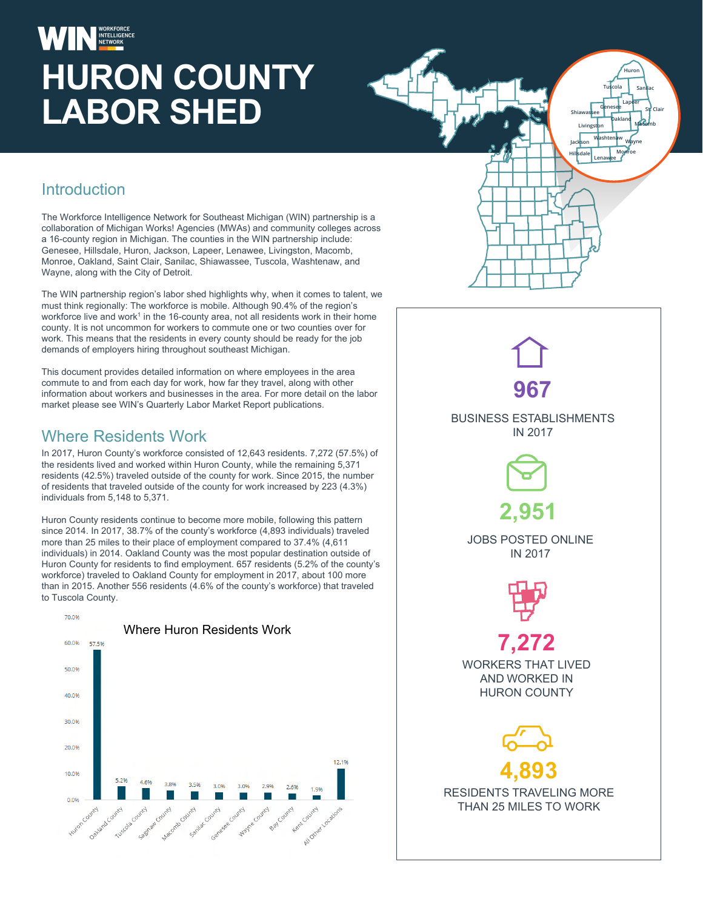# **HURON COUNTY LABOR SHED**

#### **Introduction**

The Workforce Intelligence Network for Southeast Michigan (WIN) partnership is a collaboration of Michigan Works! Agencies (MWAs) and community colleges across a 16-county region in Michigan. The counties in the WIN partnership include: Genesee, Hillsdale, Huron, Jackson, Lapeer, Lenawee, Livingston, Macomb, Monroe, Oakland, Saint Clair, Sanilac, Shiawassee, Tuscola, Washtenaw, and Wayne, along with the City of Detroit.

The WIN partnership region's labor shed highlights why, when it comes to talent, we must think regionally: The workforce is mobile. Although 90.4% of the region's workforce live and work<sup>1</sup> in the 16-county area, not all residents work in their home county. It is not uncommon for workers to commute one or two counties over for work. This means that the residents in every county should be ready for the job demands of employers hiring throughout southeast Michigan.

This document provides detailed information on where employees in the area commute to and from each day for work, how far they travel, along with other information about workers and businesses in the area. For more detail on the labor market please see WIN's Quarterly Labor Market Report publications.

#### Where Residents Work

In 2017, Huron County's workforce consisted of 12,643 residents. 7,272 (57.5%) of the residents lived and worked within Huron County, while the remaining 5,371 residents (42.5%) traveled outside of the county for work. Since 2015, the number of residents that traveled outside of the county for work increased by 223 (4.3%) individuals from 5,148 to 5,371.

Huron County residents continue to become more mobile, following this pattern since 2014. In 2017, 38.7% of the county's workforce (4,893 individuals) traveled more than 25 miles to their place of employment compared to 37.4% (4,611 individuals) in 2014. Oakland County was the most popular destination outside of Huron County for residents to find employment. 657 residents (5.2% of the county's workforce) traveled to Oakland County for employment in 2017, about 100 more than in 2015. Another 556 residents (4.6% of the county's workforce) that traveled to Tuscola County.





**Livingston**

**Jackson Hillsdale Lenawee**

**Oakland Macomb**

**Tuscola Sanilac Huron**

**Lapeer**

**Washtenaw Wayne Monroe**